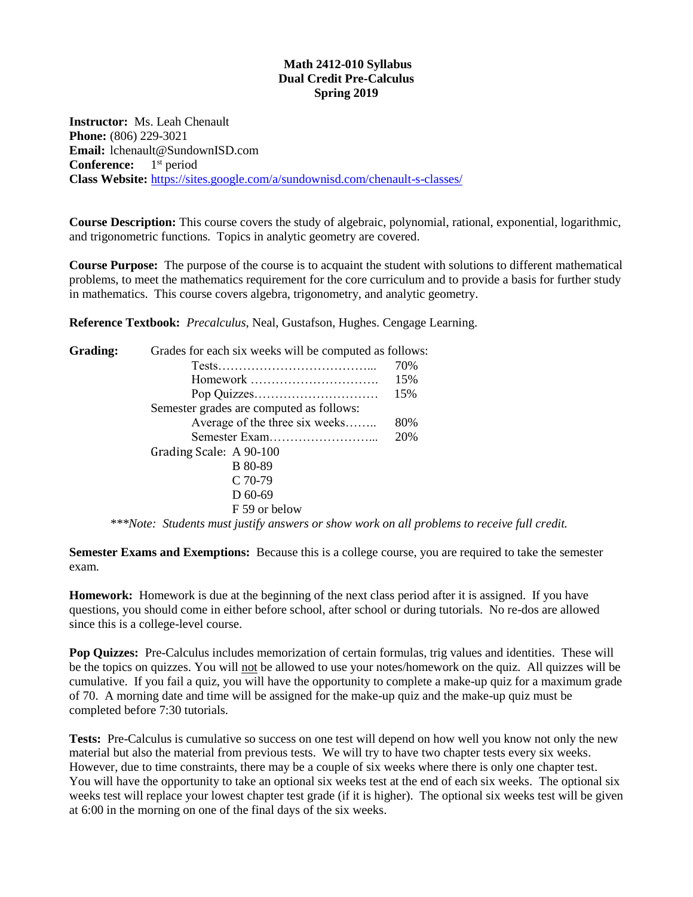#### **Math 2412-010 Syllabus Dual Credit Pre-Calculus Spring 2019**

**Instructor:** Ms. Leah Chenault **Phone:** (806) 229-3021 **Email:** lchenault@SundownISD.com **Conference:** 1<sup>st</sup> period **Class Website:** <https://sites.google.com/a/sundownisd.com/chenault-s-classes/>

**Course Description:** This course covers the study of algebraic, polynomial, rational, exponential, logarithmic, and trigonometric functions. Topics in analytic geometry are covered.

**Course Purpose:** The purpose of the course is to acquaint the student with solutions to different mathematical problems, to meet the mathematics requirement for the core curriculum and to provide a basis for further study in mathematics. This course covers algebra, trigonometry, and analytic geometry.

**Reference Textbook:** *Precalculus*, Neal, Gustafson, Hughes. Cengage Learning.

| Grading: | Grades for each six weeks will be computed as follows: |     |
|----------|--------------------------------------------------------|-----|
|          |                                                        | 70% |
|          | Homework                                               | 15% |
|          |                                                        | 15% |
|          | Semester grades are computed as follows:               |     |
|          | Average of the three six weeks                         | 80% |
|          |                                                        | 20% |
|          | Grading Scale: A 90-100                                |     |
|          | B 80-89                                                |     |
|          | $C$ 70-79                                              |     |
|          | $D$ 60-69                                              |     |
|          | F 59 or below                                          |     |
|          |                                                        |     |

*\*\*\*Note: Students must justify answers or show work on all problems to receive full credit.*

**Semester Exams and Exemptions:** Because this is a college course, you are required to take the semester exam.

**Homework:** Homework is due at the beginning of the next class period after it is assigned. If you have questions, you should come in either before school, after school or during tutorials. No re-dos are allowed since this is a college-level course.

**Pop Quizzes:** Pre-Calculus includes memorization of certain formulas, trig values and identities. These will be the topics on quizzes. You will not be allowed to use your notes/homework on the quiz. All quizzes will be cumulative. If you fail a quiz, you will have the opportunity to complete a make-up quiz for a maximum grade of 70. A morning date and time will be assigned for the make-up quiz and the make-up quiz must be completed before 7:30 tutorials.

**Tests:** Pre-Calculus is cumulative so success on one test will depend on how well you know not only the new material but also the material from previous tests. We will try to have two chapter tests every six weeks. However, due to time constraints, there may be a couple of six weeks where there is only one chapter test. You will have the opportunity to take an optional six weeks test at the end of each six weeks. The optional six weeks test will replace your lowest chapter test grade (if it is higher). The optional six weeks test will be given at 6:00 in the morning on one of the final days of the six weeks.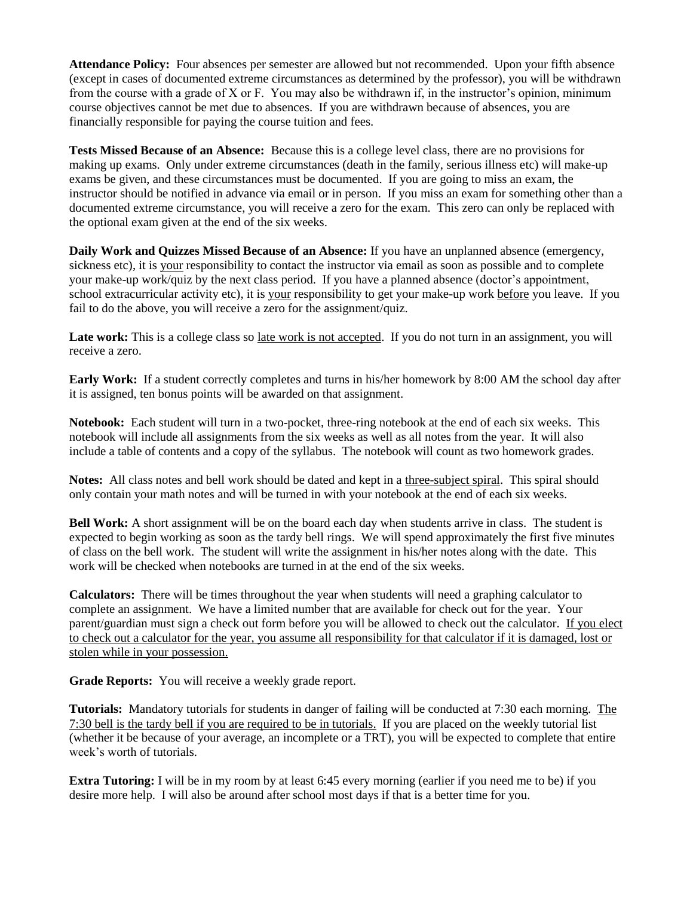**Attendance Policy:** Four absences per semester are allowed but not recommended. Upon your fifth absence (except in cases of documented extreme circumstances as determined by the professor), you will be withdrawn from the course with a grade of X or F. You may also be withdrawn if, in the instructor's opinion, minimum course objectives cannot be met due to absences. If you are withdrawn because of absences, you are financially responsible for paying the course tuition and fees.

**Tests Missed Because of an Absence:** Because this is a college level class, there are no provisions for making up exams. Only under extreme circumstances (death in the family, serious illness etc) will make-up exams be given, and these circumstances must be documented. If you are going to miss an exam, the instructor should be notified in advance via email or in person. If you miss an exam for something other than a documented extreme circumstance, you will receive a zero for the exam. This zero can only be replaced with the optional exam given at the end of the six weeks.

**Daily Work and Quizzes Missed Because of an Absence:** If you have an unplanned absence (emergency, sickness etc), it is your responsibility to contact the instructor via email as soon as possible and to complete your make-up work/quiz by the next class period. If you have a planned absence (doctor's appointment, school extracurricular activity etc), it is your responsibility to get your make-up work before you leave. If you fail to do the above, you will receive a zero for the assignment/quiz.

Late work: This is a college class so late work is not accepted. If you do not turn in an assignment, you will receive a zero.

**Early Work:** If a student correctly completes and turns in his/her homework by 8:00 AM the school day after it is assigned, ten bonus points will be awarded on that assignment.

**Notebook:** Each student will turn in a two-pocket, three-ring notebook at the end of each six weeks. This notebook will include all assignments from the six weeks as well as all notes from the year. It will also include a table of contents and a copy of the syllabus. The notebook will count as two homework grades.

**Notes:** All class notes and bell work should be dated and kept in a three-subject spiral. This spiral should only contain your math notes and will be turned in with your notebook at the end of each six weeks.

**Bell Work:** A short assignment will be on the board each day when students arrive in class. The student is expected to begin working as soon as the tardy bell rings. We will spend approximately the first five minutes of class on the bell work. The student will write the assignment in his/her notes along with the date. This work will be checked when notebooks are turned in at the end of the six weeks.

**Calculators:** There will be times throughout the year when students will need a graphing calculator to complete an assignment. We have a limited number that are available for check out for the year. Your parent/guardian must sign a check out form before you will be allowed to check out the calculator. If you elect to check out a calculator for the year, you assume all responsibility for that calculator if it is damaged, lost or stolen while in your possession.

**Grade Reports:** You will receive a weekly grade report.

**Tutorials:** Mandatory tutorials for students in danger of failing will be conducted at 7:30 each morning. The 7:30 bell is the tardy bell if you are required to be in tutorials. If you are placed on the weekly tutorial list (whether it be because of your average, an incomplete or a TRT), you will be expected to complete that entire week's worth of tutorials.

**Extra Tutoring:** I will be in my room by at least 6:45 every morning (earlier if you need me to be) if you desire more help. I will also be around after school most days if that is a better time for you.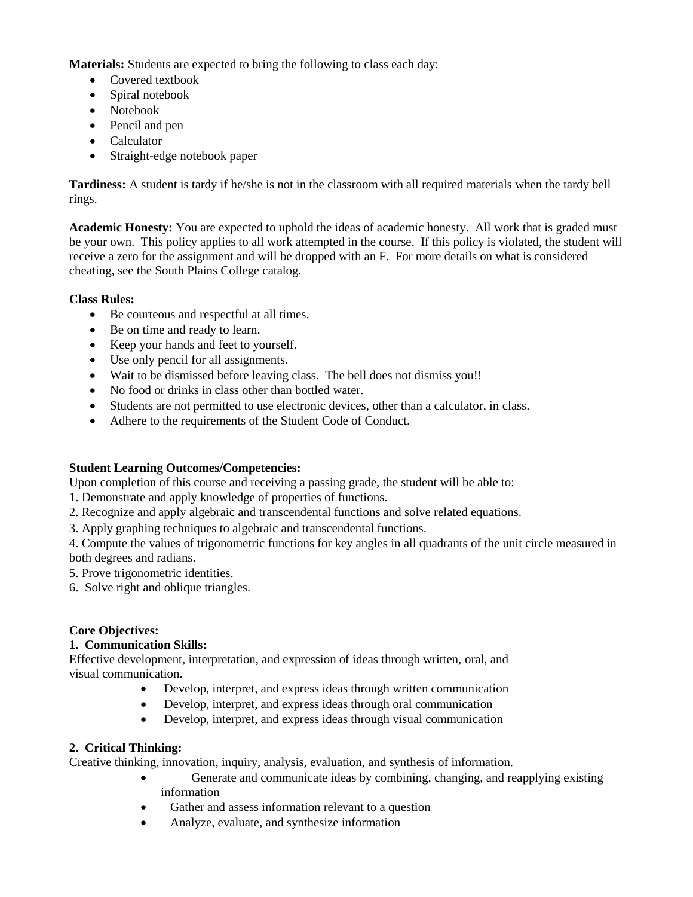**Materials:** Students are expected to bring the following to class each day:

- Covered textbook
- Spiral notebook
- Notebook
- Pencil and pen
- Calculator
- Straight-edge notebook paper

**Tardiness:** A student is tardy if he/she is not in the classroom with all required materials when the tardy bell rings.

**Academic Honesty:** You are expected to uphold the ideas of academic honesty. All work that is graded must be your own. This policy applies to all work attempted in the course. If this policy is violated, the student will receive a zero for the assignment and will be dropped with an F. For more details on what is considered cheating, see the South Plains College catalog.

## **Class Rules:**

- Be courteous and respectful at all times.
- Be on time and ready to learn.
- Keep your hands and feet to yourself.
- Use only pencil for all assignments.
- Wait to be dismissed before leaving class. The bell does not dismiss you!!
- No food or drinks in class other than bottled water.
- Students are not permitted to use electronic devices, other than a calculator, in class.
- Adhere to the requirements of the Student Code of Conduct.

## **Student Learning Outcomes/Competencies:**

Upon completion of this course and receiving a passing grade, the student will be able to:

1. Demonstrate and apply knowledge of properties of functions.

2. Recognize and apply algebraic and transcendental functions and solve related equations.

- 3. Apply graphing techniques to algebraic and transcendental functions.
- 4. Compute the values of trigonometric functions for key angles in all quadrants of the unit circle measured in both degrees and radians.
- 5. Prove trigonometric identities.
- 6. Solve right and oblique triangles.

## **Core Objectives:**

## **1. Communication Skills:**

Effective development, interpretation, and expression of ideas through written, oral, and visual communication.

- Develop, interpret, and express ideas through written communication
- Develop, interpret, and express ideas through oral communication
- Develop, interpret, and express ideas through visual communication

# **2. Critical Thinking:**

Creative thinking, innovation, inquiry, analysis, evaluation, and synthesis of information.

- Generate and communicate ideas by combining, changing, and reapplying existing information
- Gather and assess information relevant to a question
- Analyze, evaluate, and synthesize information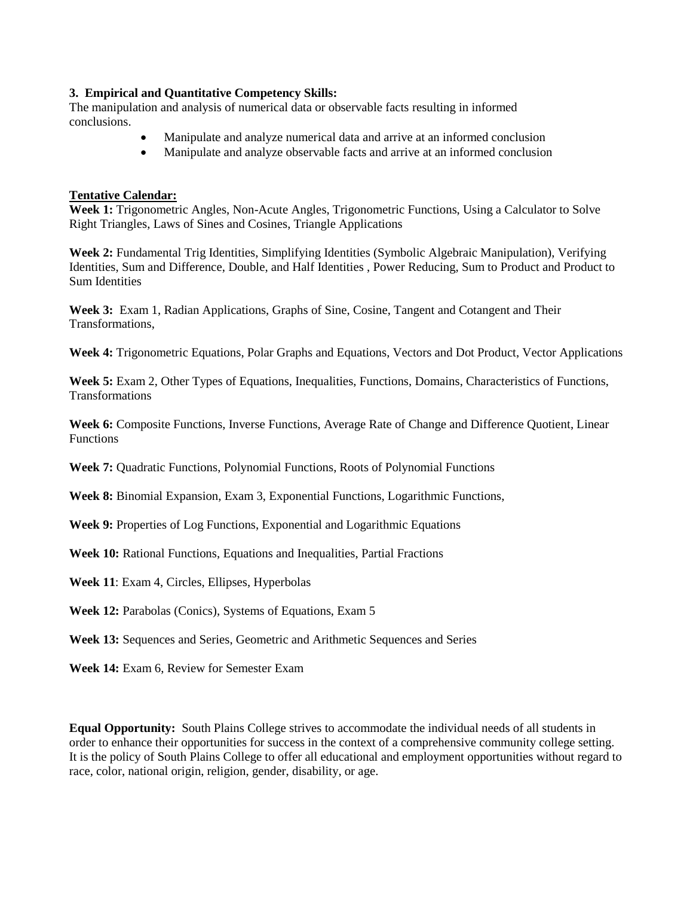#### **3. Empirical and Quantitative Competency Skills:**

The manipulation and analysis of numerical data or observable facts resulting in informed conclusions.

- Manipulate and analyze numerical data and arrive at an informed conclusion
- Manipulate and analyze observable facts and arrive at an informed conclusion

#### **Tentative Calendar:**

**Week 1:** Trigonometric Angles, Non-Acute Angles, Trigonometric Functions, Using a Calculator to Solve Right Triangles, Laws of Sines and Cosines, Triangle Applications

**Week 2:** Fundamental Trig Identities, Simplifying Identities (Symbolic Algebraic Manipulation), Verifying Identities, Sum and Difference, Double, and Half Identities , Power Reducing, Sum to Product and Product to Sum Identities

**Week 3:** Exam 1, Radian Applications, Graphs of Sine, Cosine, Tangent and Cotangent and Their Transformations,

**Week 4:** Trigonometric Equations, Polar Graphs and Equations, Vectors and Dot Product, Vector Applications

**Week 5:** Exam 2, Other Types of Equations, Inequalities, Functions, Domains, Characteristics of Functions, **Transformations** 

**Week 6:** Composite Functions, Inverse Functions, Average Rate of Change and Difference Quotient, Linear Functions

**Week 7:** Quadratic Functions, Polynomial Functions, Roots of Polynomial Functions

**Week 8:** Binomial Expansion, Exam 3, Exponential Functions, Logarithmic Functions,

**Week 9:** Properties of Log Functions, Exponential and Logarithmic Equations

**Week 10:** Rational Functions, Equations and Inequalities, Partial Fractions

**Week 11**: Exam 4, Circles, Ellipses, Hyperbolas

**Week 12:** Parabolas (Conics), Systems of Equations, Exam 5

**Week 13:** Sequences and Series, Geometric and Arithmetic Sequences and Series

**Week 14:** Exam 6, Review for Semester Exam

**Equal Opportunity:** South Plains College strives to accommodate the individual needs of all students in order to enhance their opportunities for success in the context of a comprehensive community college setting. It is the policy of South Plains College to offer all educational and employment opportunities without regard to race, color, national origin, religion, gender, disability, or age.